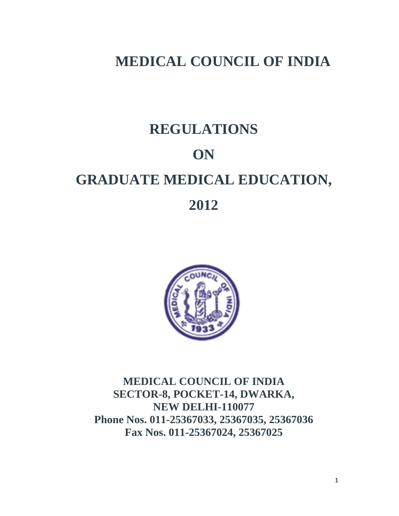# **MEDICAL COUNCIL OF INDIA**

# **REGULATIONS ON GRADUATE MEDICAL EDUCATION, 2012**



**MEDICAL COUNCIL OF INDIA SECTOR-8, POCKET-14, DWARKA, NEW DELHI-110077 Phone Nos. 011-25367033, 25367035, 25367036 Fax Nos. 011-25367024, 25367025**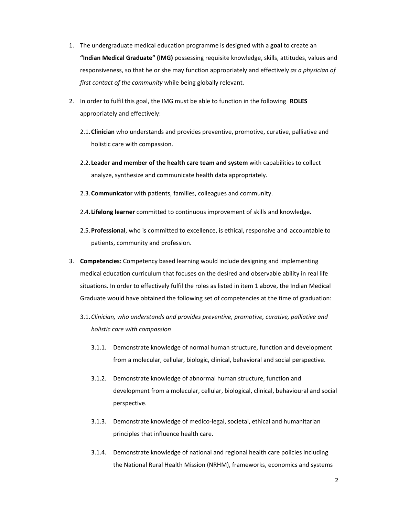- 1. The undergraduate medical education programme is designed with a **goal** to create an **"Indian Medical Graduate" (IMG)** possessing requisite knowledge, skills, attitudes, values and responsiveness, so that he or she may function appropriately and effectively *as a physician of first contact of the community* while being globally relevant.
- 2. In order to fulfil this goal, the IMG must be able to function in the following **ROLES** appropriately and effectively:
	- 2.1.**Clinician** who understands and provides preventive, promotive, curative, palliative and holistic care with compassion.
	- 2.2. **Leader and member of the health care team and system** with capabilities to collect analyze, synthesize and communicate health data appropriately.
	- 2.3.**Communicator** with patients, families, colleagues and community.
	- 2.4. **Lifelong learner** committed to continuous improvement of skills and knowledge.
	- 2.5.**Professional**, who is committed to excellence, is ethical, responsive and accountable to patients, community and profession.
- 3. **Competencies:** Competency based learning would include designing and implementing medical education curriculum that focuses on the desired and observable ability in real life situations. In order to effectively fulfil the roles as listed in item 1 above, the Indian Medical Graduate would have obtained the following set of competencies at the time of graduation:
	- 3.1.*Clinician, who understands and provides preventive, promotive, curative, palliative and holistic care with compassion* 
		- 3.1.1. Demonstrate knowledge of normal human structure, function and development from a molecular, cellular, biologic, clinical, behavioral and social perspective.
		- 3.1.2. Demonstrate knowledge of abnormal human structure, function and development from a molecular, cellular, biological, clinical, behavioural and social perspective.
		- 3.1.3. Demonstrate knowledge of medico-legal, societal, ethical and humanitarian principles that influence health care.
		- 3.1.4. Demonstrate knowledge of national and regional health care policies including the National Rural Health Mission (NRHM), frameworks, economics and systems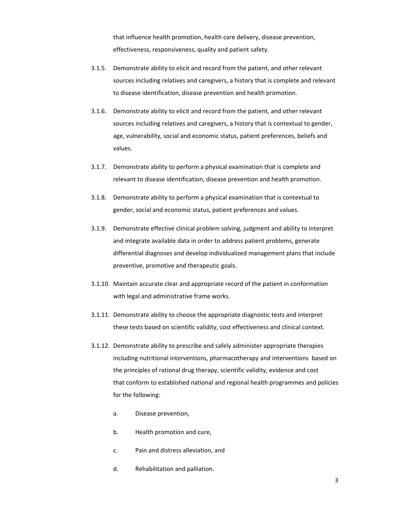that influence health promotion, health care delivery, disease prevention, effectiveness, responsiveness, quality and patient safety.

- 3.1.5. Demonstrate ability to elicit and record from the patient, and other relevant sources including relatives and caregivers, a history that is complete and relevant to disease identification, disease prevention and health promotion.
- 3.1.6. Demonstrate ability to elicit and record from the patient, and other relevant sources including relatives and caregivers, a history that is contextual to gender, age, vulnerability, social and economic status, patient preferences, beliefs and values.
- 3.1.7. Demonstrate ability to perform a physical examination that is complete and relevant to disease identification, disease prevention and health promotion.
- 3.1.8. Demonstrate ability to perform a physical examination that is contextual to gender, social and economic status, patient preferences and values.
- 3.1.9. Demonstrate effective clinical problem solving, judgment and ability to interpret and integrate available data in order to address patient problems, generate differential diagnoses and develop individualized management plans that include preventive, promotive and therapeutic goals.
- 3.1.10. Maintain accurate clear and appropriate record of the patient in conformation with legal and administrative frame works.
- 3.1.11. Demonstrate ability to choose the appropriate diagnostic tests and interpret these tests based on scientific validity, cost effectiveness and clinical context.
- 3.1.12. Demonstrate ability to prescribe and safely administer appropriate therapies including nutritional interventions, pharmacotherapy and interventions based on the principles of rational drug therapy, scientific validity, evidence and cost that conform to established national and regional health programmes and policies for the following:
	- a. Disease prevention,
	- b. Health promotion and cure,
	- c. Pain and distress alleviation, and
	- d. Rehabilitation and palliation.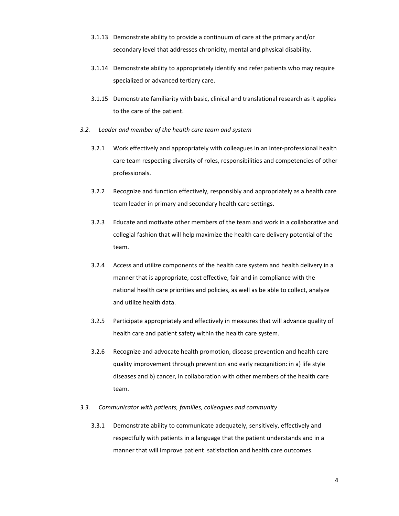- 3.1.13 Demonstrate ability to provide a continuum of care at the primary and/or secondary level that addresses chronicity, mental and physical disability.
- 3.1.14 Demonstrate ability to appropriately identify and refer patients who may require specialized or advanced tertiary care.
- 3.1.15 Demonstrate familiarity with basic, clinical and translational research as it applies to the care of the patient.
- *3.2. Leader and member of the health care team and system*
	- 3.2.1 Work effectively and appropriately with colleagues in an inter‐professional health care team respecting diversity of roles, responsibilities and competencies of other professionals.
	- 3.2.2 Recognize and function effectively, responsibly and appropriately as a health care team leader in primary and secondary health care settings.
	- 3.2.3 Educate and motivate other members of the team and work in a collaborative and collegial fashion that will help maximize the health care delivery potential of the team.
	- 3.2.4 Access and utilize components of the health care system and health delivery in a manner that is appropriate, cost effective, fair and in compliance with the national health care priorities and policies, as well as be able to collect, analyze and utilize health data.
	- 3.2.5 Participate appropriately and effectively in measures that will advance quality of health care and patient safety within the health care system.
	- 3.2.6 Recognize and advocate health promotion, disease prevention and health care quality improvement through prevention and early recognition: in a) life style diseases and b) cancer, in collaboration with other members of the health care team.
- *3.3. Communicator with patients, families, colleagues and community*
	- 3.3.1 Demonstrate ability to communicate adequately, sensitively, effectively and respectfully with patients in a language that the patient understands and in a manner that will improve patient satisfaction and health care outcomes.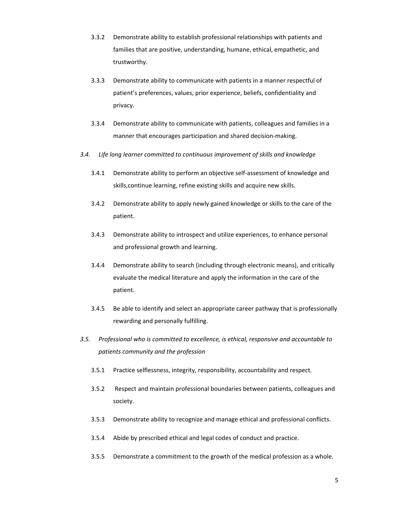- 3.3.2 Demonstrate ability to establish professional relationships with patients and families that are positive, understanding, humane, ethical, empathetic, and trustworthy.
- 3.3.3 Demonstrate ability to communicate with patients in a manner respectful of patient's preferences, values, prior experience, beliefs, confidentiality and privacy.
- 3.3.4 Demonstrate ability to communicate with patients, colleagues and families in a manner that encourages participation and shared decision‐making.
- *3.4. Life long learner committed to continuous improvement of skills and knowledge*
	- 3.4.1 Demonstrate ability to perform an objective self‐assessment of knowledge and skills,continue learning, refine existing skills and acquire new skills.
	- 3.4.2 Demonstrate ability to apply newly gained knowledge or skills to the care of the patient.
	- 3.4.3 Demonstrate ability to introspect and utilize experiences, to enhance personal and professional growth and learning.
	- 3.4.4 Demonstrate ability to search (including through electronic means), and critically evaluate the medical literature and apply the information in the care of the patient.
	- 3.4.5 Be able to identify and select an appropriate career pathway that is professionally rewarding and personally fulfilling.
- *3.5. Professional who is committed to excellence, is ethical, responsive and accountable to patients community and the profession* 
	- 3.5.1 Practice selflessness, integrity, responsibility, accountability and respect.
	- 3.5.2 Respect and maintain professional boundaries between patients, colleagues and society.
	- 3.5.3 Demonstrate ability to recognize and manage ethical and professional conflicts.
	- 3.5.4 Abide by prescribed ethical and legal codes of conduct and practice.
	- 3.5.5 Demonstrate a commitment to the growth of the medical profession as a whole.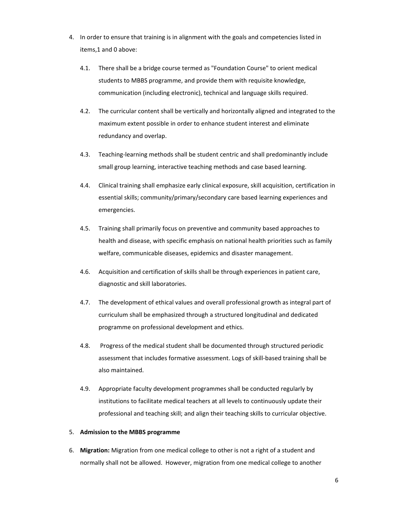- 4. In order to ensure that training is in alignment with the goals and competencies listed in items,1 and 0 above:
	- 4.1. There shall be a bridge course termed as "Foundation Course" to orient medical students to MBBS programme, and provide them with requisite knowledge, communication (including electronic), technical and language skills required.
	- 4.2. The curricular content shall be vertically and horizontally aligned and integrated to the maximum extent possible in order to enhance student interest and eliminate redundancy and overlap.
	- 4.3. Teaching-learning methods shall be student centric and shall predominantly include small group learning, interactive teaching methods and case based learning.
	- 4.4. Clinical training shall emphasize early clinical exposure, skill acquisition, certification in essential skills; community/primary/secondary care based learning experiences and emergencies.
	- 4.5. Training shall primarily focus on preventive and community based approaches to health and disease, with specific emphasis on national health priorities such as family welfare, communicable diseases, epidemics and disaster management.
	- 4.6. Acquisition and certification of skills shall be through experiences in patient care, diagnostic and skill laboratories.
	- 4.7. The development of ethical values and overall professional growth as integral part of curriculum shall be emphasized through a structured longitudinal and dedicated programme on professional development and ethics.
	- 4.8. Progress of the medical student shall be documented through structured periodic assessment that includes formative assessment. Logs of skill‐based training shall be also maintained.
	- 4.9. Appropriate faculty development programmes shall be conducted regularly by institutions to facilitate medical teachers at all levels to continuously update their professional and teaching skill; and align their teaching skills to curricular objective.

#### 5. **Admission to the MBBS programme**

6. **Migration:** Migration from one medical college to other is not a right of a student and normally shall not be allowed. However, migration from one medical college to another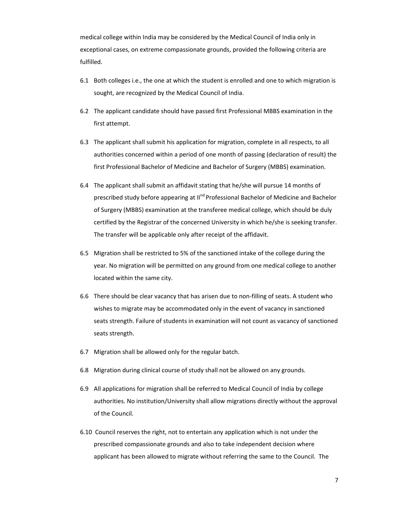medical college within India may be considered by the Medical Council of India only in exceptional cases, on extreme compassionate grounds, provided the following criteria are fulfilled.

- 6.1 Both colleges i.e., the one at which the student is enrolled and one to which migration is sought, are recognized by the Medical Council of India.
- 6.2 The applicant candidate should have passed first Professional MBBS examination in the first attempt.
- 6.3 The applicant shall submit his application for migration, complete in all respects, to all authorities concerned within a period of one month of passing (declaration of result) the first Professional Bachelor of Medicine and Bachelor of Surgery (MBBS) examination.
- 6.4 The applicant shall submit an affidavit stating that he/she will pursue 14 months of prescribed study before appearing at II<sup>nd</sup> Professional Bachelor of Medicine and Bachelor of Surgery (MBBS) examination at the transferee medical college, which should be duly certified by the Registrar of the concerned University in which he/she is seeking transfer. The transfer will be applicable only after receipt of the affidavit.
- 6.5 Migration shall be restricted to 5% of the sanctioned intake of the college during the year. No migration will be permitted on any ground from one medical college to another located within the same city.
- 6.6 There should be clear vacancy that has arisen due to non-filling of seats. A student who wishes to migrate may be accommodated only in the event of vacancy in sanctioned seats strength. Failure of students in examination will not count as vacancy of sanctioned seats strength.
- 6.7 Migration shall be allowed only for the regular batch.
- 6.8 Migration during clinical course of study shall not be allowed on any grounds.
- 6.9 All applications for migration shall be referred to Medical Council of India by college authorities. No institution/University shall allow migrations directly without the approval of the Council.
- 6.10 Council reserves the right, not to entertain any application which is not under the prescribed compassionate grounds and also to take independent decision where applicant has been allowed to migrate without referring the same to the Council. The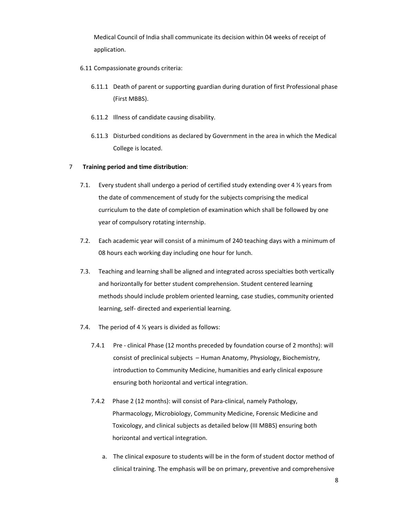Medical Council of India shall communicate its decision within 04 weeks of receipt of application.

- 6.11 Compassionate grounds criteria:
	- 6.11.1 Death of parent or supporting guardian during duration of first Professional phase (First MBBS).
	- 6.11.2 Illness of candidate causing disability.
	- 6.11.3 Disturbed conditions as declared by Government in the area in which the Medical College is located.

#### 7 **Training period and time distribution**:

- 7.1. Every student shall undergo a period of certified study extending over 4  $\frac{1}{2}$  years from the date of commencement of study for the subjects comprising the medical curriculum to the date of completion of examination which shall be followed by one year of compulsory rotating internship.
- 7.2. Each academic year will consist of a minimum of 240 teaching days with a minimum of 08 hours each working day including one hour for lunch.
- 7.3. Teaching and learning shall be aligned and integrated across specialties both vertically and horizontally for better student comprehension. Student centered learning methods should include problem oriented learning, case studies, community oriented learning, self‐ directed and experiential learning.
- 7.4. The period of 4  $\frac{1}{2}$  years is divided as follows:
	- 7.4.1 Pre clinical Phase (12 months preceded by foundation course of 2 months): will consist of preclinical subjects – Human Anatomy, Physiology, Biochemistry, introduction to Community Medicine, humanities and early clinical exposure ensuring both horizontal and vertical integration.
	- 7.4.2 Phase 2 (12 months): will consist of Para-clinical, namely Pathology, Pharmacology, Microbiology, Community Medicine, Forensic Medicine and Toxicology, and clinical subjects as detailed below (III MBBS) ensuring both horizontal and vertical integration.
		- a. The clinical exposure to students will be in the form of student doctor method of clinical training. The emphasis will be on primary, preventive and comprehensive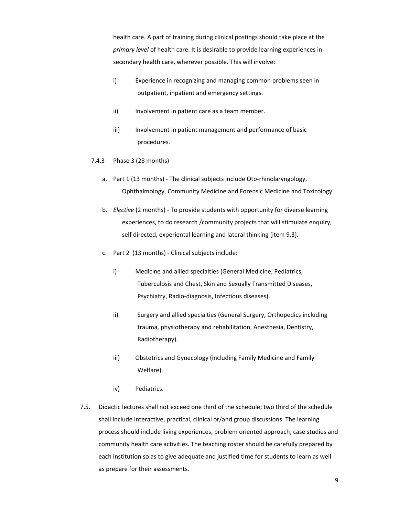health care. A part of training during clinical postings should take place at the *primary level* of health care. It is desirable to provide learning experiences in secondary health care, wherever possible**.** This will involve:

- i) Experience in recognizing and managing common problems seen in outpatient, inpatient and emergency settings.
- ii) Involvement in patient care as a team member.
- iii) Involvement in patient management and performance of basic procedures.
- 7.4.3 Phase 3 (28 months)
	- a. Part 1 (13 months) The clinical subjects include Oto-rhinolaryngology, Ophthalmology, Community Medicine and Forensic Medicine and Toxicology.
	- b. *Elective* (2 months) ‐ To provide students with opportunity for diverse learning experiences, to do research /community projects that will stimulate enquiry, self directed, experiental learning and lateral thinking [item 9.3].
	- c. Part 2 (13 months) ‐ Clinical subjects include:
		- i) Medicine and allied specialties (General Medicine, Pediatrics, Tuberculosis and Chest, Skin and Sexually Transmitted Diseases, Psychiatry, Radio‐diagnosis, Infectious diseases).
		- ii) Surgery and allied specialties (General Surgery, Orthopedics including trauma, physiotherapy and rehabilitation, Anesthesia, Dentistry, Radiotherapy).
		- iii) Obstetrics and Gynecology (including Family Medicine and Family Welfare).
		- iv) Pediatrics.
- 7.5. Didactic lectures shall not exceed one third of the schedule; two third of the schedule shall include interactive, practical, clinical or/and group discussions. The learning process should include living experiences, problem oriented approach, case studies and community health care activities. The teaching roster should be carefully prepared by each institution so as to give adequate and justified time for students to learn as well as prepare for their assessments.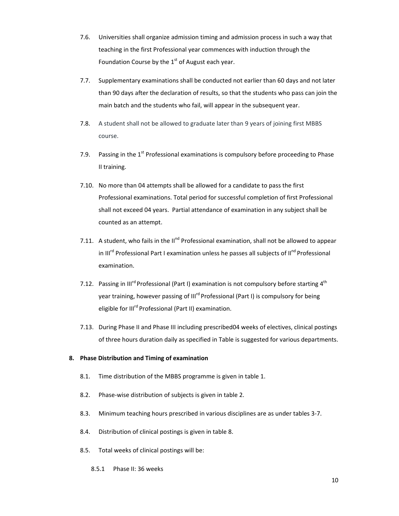- 7.6. Universities shall organize admission timing and admission process in such a way that teaching in the first Professional year commences with induction through the Foundation Course by the  $1<sup>st</sup>$  of August each year.
- 7.7. Supplementary examinations shall be conducted not earlier than 60 days and not later than 90 days after the declaration of results, so that the students who pass can join the main batch and the students who fail, will appear in the subsequent year.
- 7.8. A student shall not be allowed to graduate later than 9 years of joining first MBBS course.
- 7.9. Passing in the  $1<sup>st</sup>$  Professional examinations is compulsory before proceeding to Phase II training.
- 7.10. No more than 04 attempts shall be allowed for a candidate to pass the first Professional examinations. Total period for successful completion of first Professional shall not exceed 04 years. Partial attendance of examination in any subject shall be counted as an attempt.
- 7.11. A student, who fails in the II<sup>nd</sup> Professional examination, shall not be allowed to appear in III<sup>rd</sup> Professional Part I examination unless he passes all subjects of II<sup>nd</sup> Professional examination.
- 7.12. Passing in III<sup>rd</sup> Professional (Part I) examination is not compulsory before starting  $4<sup>th</sup>$ year training, however passing of III<sup>rd</sup> Professional (Part I) is compulsory for being eligible for III<sup>rd</sup> Professional (Part II) examination.
- 7.13. During Phase II and Phase III including prescribed04 weeks of electives, clinical postings of three hours duration daily as specified in Table is suggested for various departments.

# **8. Phase Distribution and Timing of examination**

- 8.1. Time distribution of the MBBS programme is given in table 1.
- 8.2. Phase-wise distribution of subjects is given in table 2.
- 8.3. Minimum teaching hours prescribed in various disciplines are as under tables 3‐7.
- 8.4. Distribution of clinical postings is given in table 8.
- 8.5. Total weeks of clinical postings will be:
	- 8.5.1 Phase II: 36 weeks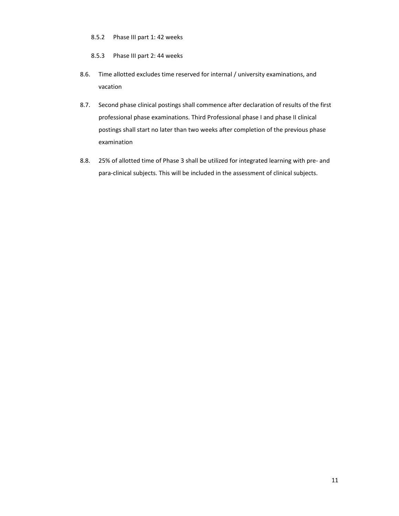## 8.5.2 Phase III part 1: 42 weeks

- 8.5.3 Phase III part 2: 44 weeks
- 8.6. Time allotted excludes time reserved for internal / university examinations, and vacation
- 8.7. Second phase clinical postings shall commence after declaration of results of the first professional phase examinations. Third Professional phase I and phase II clinical postings shall start no later than two weeks after completion of the previous phase examination
- 8.8. 25% of allotted time of Phase 3 shall be utilized for integrated learning with pre- and para‐clinical subjects. This will be included in the assessment of clinical subjects.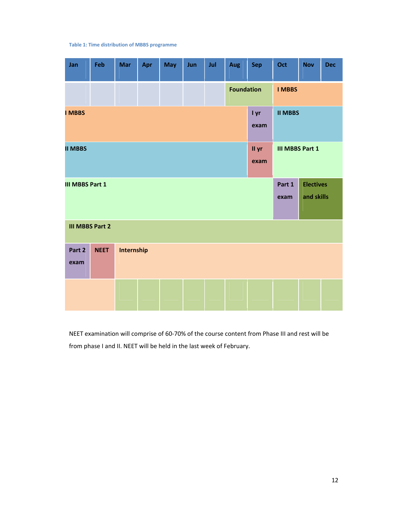#### **Table 1: Time distribution of MBBS programme**

| Jan                    | Feb         | <b>Mar</b> | Apr | May | Jun | Jul | Aug               | Sep           | Oct                    | <b>Nov</b>                     | <b>Dec</b> |
|------------------------|-------------|------------|-----|-----|-----|-----|-------------------|---------------|------------------------|--------------------------------|------------|
|                        |             |            |     |     |     |     | <b>Foundation</b> |               | <b>I MBBS</b>          |                                |            |
| <b>I MBBS</b>          |             |            |     |     |     |     |                   | I yr<br>exam  | <b>II MBBS</b>         |                                |            |
| <b>II MBBS</b>         |             |            |     |     |     |     |                   | II yr<br>exam | <b>III MBBS Part 1</b> |                                |            |
| <b>III MBBS Part 1</b> |             |            |     |     |     |     |                   |               | Part 1<br>exam         | <b>Electives</b><br>and skills |            |
| <b>III MBBS Part 2</b> |             |            |     |     |     |     |                   |               |                        |                                |            |
| Part 2<br>exam         | <b>NEET</b> | Internship |     |     |     |     |                   |               |                        |                                |            |
|                        |             |            |     |     |     |     |                   |               |                        |                                |            |

NEET examination will comprise of 60‐70% of the course content from Phase III and rest will be from phase I and II. NEET will be held in the last week of February.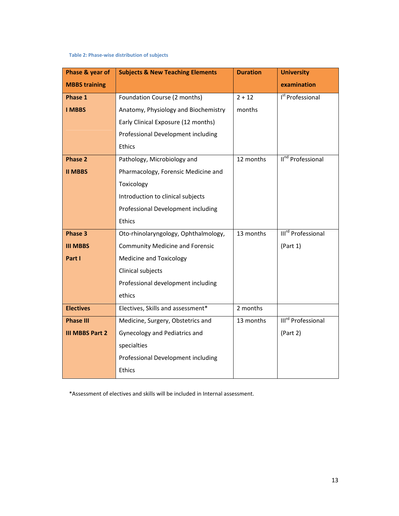# **Table 2: Phase‐wise distribution of subjects**

| Phase & year of        | <b>Subjects &amp; New Teaching Elements</b> | <b>Duration</b> | <b>University</b>              |
|------------------------|---------------------------------------------|-----------------|--------------------------------|
| <b>MBBS training</b>   |                                             |                 | examination                    |
| Phase 1                | Foundation Course (2 months)                | $2 + 12$        | I <sup>st</sup> Professional   |
| <b>I MBBS</b>          | Anatomy, Physiology and Biochemistry        | months          |                                |
|                        | Early Clinical Exposure (12 months)         |                 |                                |
|                        | Professional Development including          |                 |                                |
|                        | <b>Ethics</b>                               |                 |                                |
| <b>Phase 2</b>         | Pathology, Microbiology and                 | 12 months       | II <sup>nd</sup> Professional  |
| <b>II MBBS</b>         | Pharmacology, Forensic Medicine and         |                 |                                |
|                        | Toxicology                                  |                 |                                |
|                        | Introduction to clinical subjects           |                 |                                |
|                        | Professional Development including          |                 |                                |
|                        | <b>Ethics</b>                               |                 |                                |
| Phase 3                | Oto-rhinolaryngology, Ophthalmology,        | 13 months       | III <sup>rd</sup> Professional |
| <b>III MBBS</b>        | <b>Community Medicine and Forensic</b>      |                 | (Part 1)                       |
| Part I                 | Medicine and Toxicology                     |                 |                                |
|                        | Clinical subjects                           |                 |                                |
|                        | Professional development including          |                 |                                |
|                        | ethics                                      |                 |                                |
| <b>Electives</b>       | Electives, Skills and assessment*           | 2 months        |                                |
| <b>Phase III</b>       | Medicine, Surgery, Obstetrics and           | 13 months       | III <sup>rd</sup> Professional |
| <b>III MBBS Part 2</b> | Gynecology and Pediatrics and               |                 | (Part 2)                       |
|                        | specialties                                 |                 |                                |
|                        | Professional Development including          |                 |                                |
|                        | <b>Ethics</b>                               |                 |                                |

\*Assessment of electives and skills will be included in Internal assessment.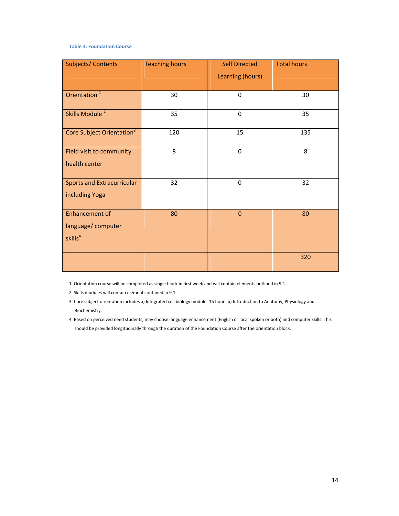#### **Table 3: Foundation Course**

| <b>Subjects/Contents</b>                                          | <b>Teaching hours</b> | <b>Self Directed</b><br>Learning (hours) | <b>Total hours</b> |
|-------------------------------------------------------------------|-----------------------|------------------------------------------|--------------------|
| Orientation <sup>1</sup>                                          | 30                    | $\mathbf 0$                              | 30                 |
| Skills Module <sup>2</sup>                                        | 35                    | $\pmb{0}$                                | 35                 |
| Core Subject Orientation <sup>3</sup>                             | 120                   | 15                                       | 135                |
| Field visit to community<br>health center                         | 8                     | $\mathbf 0$                              | 8                  |
| <b>Sports and Extracurricular</b><br>including Yoga               | 32                    | $\pmb{0}$                                | 32                 |
| <b>Enhancement of</b><br>language/computer<br>skills <sup>4</sup> | 80                    | $\mathbf{0}$                             | 80                 |
|                                                                   |                       |                                          | 320                |

1. Orientation course will be completed as single block in first week and will contain elements outlined in 9.1.

2. Skills modules will contain elements outlined in 9.1

3. Core subject orientation includes a) Integrated cell biology module ‐15 hours b) Introduction to Anatomy, Physiology and Biochemistry.

4. Based on perceived need students, may choose language enhancement (English or local spoken or both) and computer skills. This should be provided longitudinally through the duration of the Foundation Course after the orientation block.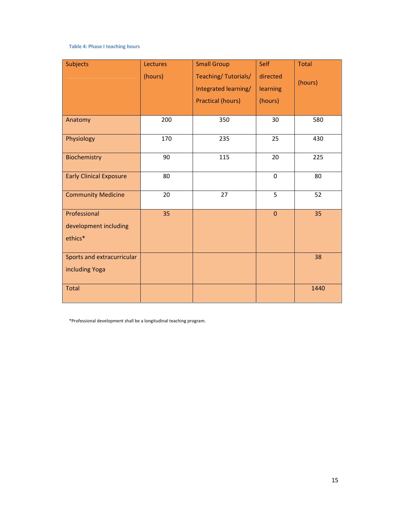#### **Table 4: Phase I teaching hours**

| <b>Subjects</b>                | Lectures | <b>Small Group</b>       | Self           | <b>Total</b> |
|--------------------------------|----------|--------------------------|----------------|--------------|
|                                | (hours)  | Teaching/Tutorials/      | directed       |              |
|                                |          | Integrated learning/     | learning       | (hours)      |
|                                |          | <b>Practical (hours)</b> | (hours)        |              |
|                                |          |                          |                |              |
| Anatomy                        | 200      | 350                      | 30             | 580          |
| Physiology                     | 170      | 235                      | 25             | 430          |
| Biochemistry                   | 90       | 115                      | 20             | 225          |
| <b>Early Clinical Exposure</b> | 80       |                          | $\mathbf 0$    | 80           |
| <b>Community Medicine</b>      | 20       | 27                       | 5              | 52           |
| Professional                   | 35       |                          | $\overline{0}$ | 35           |
| development including          |          |                          |                |              |
| ethics*                        |          |                          |                |              |
| Sports and extracurricular     |          |                          |                | 38           |
| including Yoga                 |          |                          |                |              |
| <b>Total</b>                   |          |                          |                | 1440         |

\*Professional development shall be a longitudinal teaching program.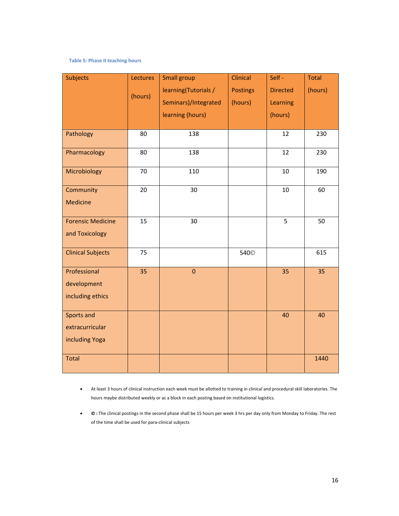# **Table 5: Phase II teaching hours**

| <b>Subjects</b>                                 | Lectures<br>(hours) | <b>Small group</b><br>learning(Tutorials /<br>Seminars)/Integrated | <b>Clinical</b><br><b>Postings</b><br>(hours) | Self-<br><b>Directed</b><br>Learning | <b>Total</b><br>(hours) |
|-------------------------------------------------|---------------------|--------------------------------------------------------------------|-----------------------------------------------|--------------------------------------|-------------------------|
|                                                 |                     | learning (hours)                                                   |                                               | (hours)                              |                         |
| Pathology                                       | 80                  | 138                                                                |                                               | 12                                   | 230                     |
| Pharmacology                                    | 80                  | 138                                                                |                                               | 12                                   | 230                     |
| Microbiology                                    | 70                  | 110                                                                |                                               | 10                                   | 190                     |
| Community<br><b>Medicine</b>                    | 20                  | 30                                                                 |                                               | $10\,$                               | 60                      |
| <b>Forensic Medicine</b><br>and Toxicology      | 15                  | 30                                                                 |                                               | 5                                    | 50                      |
| <b>Clinical Subjects</b>                        | 75                  |                                                                    | 540 <sup>©</sup>                              |                                      | 615                     |
| Professional<br>development<br>including ethics | 35                  | $\mathbf 0$                                                        |                                               | 35                                   | 35                      |
| Sports and<br>extracurricular<br>including Yoga |                     |                                                                    |                                               | 40                                   | 40                      |
| <b>Total</b>                                    |                     |                                                                    |                                               |                                      | 1440                    |

- At least 3 hours of clinical instruction each week must be allotted to training in clinical and procedural skill laboratories. The hours maybe distributed weekly or as a block in each posting based on institutional logistics.
- © **:** The clinical postings in the second phase shall be 15 hours per week 3 hrs per day only from Monday to Friday. The rest of the time shall be used for para‐clinical subjects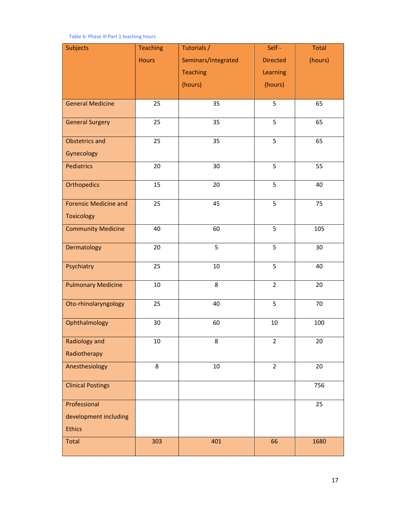#### Table 6: Phase III Part 1 teaching hours

| <b>Subjects</b>              | <b>Teaching</b> | Tutorials /         | Self-           | <b>Total</b> |
|------------------------------|-----------------|---------------------|-----------------|--------------|
|                              | <b>Hours</b>    | Seminars/Integrated | <b>Directed</b> | (hours)      |
|                              |                 | <b>Teaching</b>     | Learning        |              |
|                              |                 | (hours)             | (hours)         |              |
|                              |                 |                     |                 |              |
| <b>General Medicine</b>      | 25              | 35                  | 5               | 65           |
| <b>General Surgery</b>       | 25              | 35                  | 5               | 65           |
| <b>Obstetrics and</b>        | 25              | 35                  | 5               | 65           |
| Gynecology                   |                 |                     |                 |              |
| Pediatrics                   | 20              | 30                  | 5               | 55           |
| <b>Orthopedics</b>           | 15              | 20                  | 5               | 40           |
| <b>Forensic Medicine and</b> | 25              | 45                  | 5               | 75           |
| <b>Toxicology</b>            |                 |                     |                 |              |
| <b>Community Medicine</b>    | 40              | 60                  | 5               | 105          |
| Dermatology                  | 20              | 5                   | 5               | 30           |
| Psychiatry                   | 25              | $10\,$              | 5               | 40           |
| <b>Pulmonary Medicine</b>    | 10              | $\,8\,$             | $\overline{2}$  | 20           |
| Oto-rhinolaryngology         | 25              | 40                  | 5               | 70           |
| Ophthalmology                | 30              | 60                  | $10\,$          | 100          |
| <b>Radiology and</b>         | 10              | 8                   | $\overline{2}$  | 20           |
| Radiotherapy                 |                 |                     |                 |              |
| Anesthesiology               | 8               | 10                  | $\overline{2}$  | 20           |
| <b>Clinical Postings</b>     |                 |                     |                 | 756          |
| Professional                 |                 |                     |                 | 25           |
| development including        |                 |                     |                 |              |
| <b>Ethics</b>                |                 |                     |                 |              |
| Total                        | 303             | 401                 | 66              | 1680         |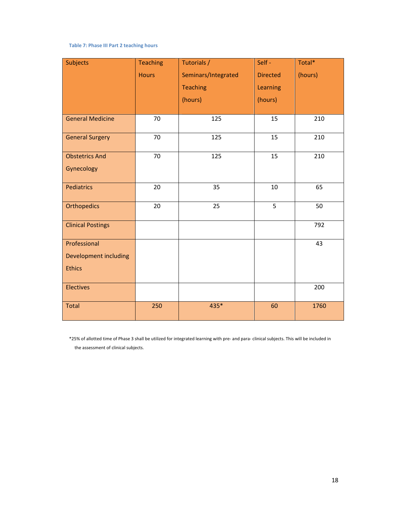#### **Table 7: Phase III Part 2 teaching hours**

| <b>Subjects</b>          | <b>Teaching</b> | Tutorials /         | Self-           | Total*  |
|--------------------------|-----------------|---------------------|-----------------|---------|
|                          | <b>Hours</b>    | Seminars/Integrated | <b>Directed</b> | (hours) |
|                          |                 | <b>Teaching</b>     | Learning        |         |
|                          |                 | (hours)             | (hours)         |         |
| <b>General Medicine</b>  | 70              | 125                 | 15              | 210     |
| <b>General Surgery</b>   | $\overline{70}$ | 125                 | 15              | 210     |
| <b>Obstetrics And</b>    | 70              | 125                 | 15              | 210     |
| Gynecology               |                 |                     |                 |         |
| <b>Pediatrics</b>        | 20              | 35                  | 10              | 65      |
| <b>Orthopedics</b>       | 20              | 25                  | 5               | 50      |
| <b>Clinical Postings</b> |                 |                     |                 | 792     |
| Professional             |                 |                     |                 | 43      |
| Development including    |                 |                     |                 |         |
| <b>Ethics</b>            |                 |                     |                 |         |
| <b>Electives</b>         |                 |                     |                 | 200     |
| Total                    | 250             | 435*                | 60              | 1760    |

\*25% of allotted time of Phase 3 shall be utilized for integrated learning with pre‐ and para‐ clinical subjects. This will be included in the assessment of clinical subjects.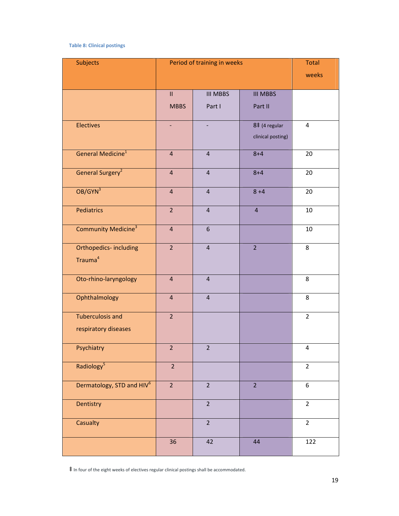#### **Table 8: Clinical postings**

| Subjects                              | Period of training in weeks | <b>Total</b>     |                   |                         |
|---------------------------------------|-----------------------------|------------------|-------------------|-------------------------|
|                                       |                             |                  |                   | weeks                   |
|                                       | $\mathbf{II}$               | <b>III MBBS</b>  | <b>III MBBS</b>   |                         |
|                                       |                             |                  |                   |                         |
|                                       | <b>MBBS</b>                 | Part I           | Part II           |                         |
| <b>Electives</b>                      |                             |                  | 8‡ (4 regular     | $\overline{\mathbf{4}}$ |
|                                       |                             |                  | clinical posting) |                         |
| General Medicine <sup>1</sup>         | $\overline{4}$              | $\overline{4}$   | $8 + 4$           | 20                      |
| General Surgery <sup>2</sup>          | $\overline{4}$              | $\overline{4}$   | $8 + 4$           | 20                      |
|                                       |                             |                  |                   |                         |
| $OB/GYN^3$                            | $\overline{4}$              | $\overline{4}$   | $8 + 4$           | 20                      |
| <b>Pediatrics</b>                     | $\overline{2}$              | $\overline{4}$   | $\overline{4}$    | $10\,$                  |
| Community Medicine <sup>3</sup>       | $\overline{4}$              | $\boldsymbol{6}$ |                   | $10\,$                  |
|                                       |                             |                  |                   |                         |
| Orthopedics-including                 | $\overline{2}$              | $\overline{4}$   | $\overline{2}$    | 8                       |
| Trauma <sup>4</sup>                   |                             |                  |                   |                         |
| Oto-rhino-laryngology                 | $\overline{4}$              | $\overline{4}$   |                   | 8                       |
| Ophthalmology                         | $\overline{4}$              | $\overline{4}$   |                   | 8                       |
| <b>Tuberculosis and</b>               | $\overline{2}$              |                  |                   | $\overline{2}$          |
| respiratory diseases                  |                             |                  |                   |                         |
| Psychiatry                            | $\overline{2}$              | $\mathbf 2$      |                   | 4                       |
| Radiology <sup>5</sup>                | $\overline{2}$              |                  |                   | $\overline{2}$          |
| Dermatology, STD and HIV <sup>6</sup> | $\overline{2}$              | $\overline{2}$   | $\overline{2}$    | 6                       |
| Dentistry                             |                             | $\overline{2}$   |                   | $\overline{2}$          |
| Casualty                              |                             | $\overline{2}$   |                   | $\overline{2}$          |
|                                       | 36                          | 42               | 44                | 122                     |

‡ In four of the eight weeks of electives regular clinical postings shall be accommodated.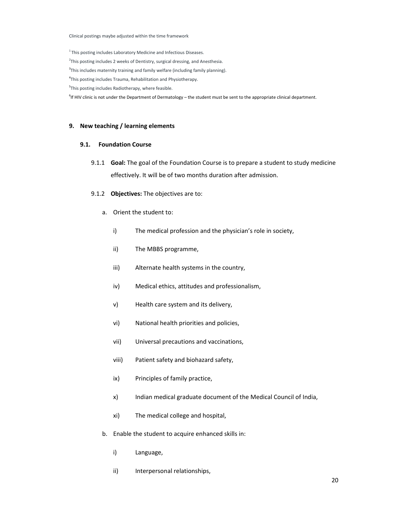Clinical postings maybe adjusted within the time framework

<sup>1</sup> This posting includes Laboratory Medicine and Infectious Diseases.

<sup>2</sup>This posting includes 2 weeks of Dentistry, surgical dressing, and Anesthesia.

<sup>3</sup>This includes maternity training and family welfare (including family planning).

4 This posting includes Trauma, Rehabilitation and Physiotherapy.

<sup>5</sup>This posting includes Radiotherapy, where feasible.

<sup>6</sup>If HIV clinic is not under the Department of Dermatology – the student must be sent to the appropriate clinical department.

#### **9. New teaching / learning elements**

#### **9.1. Foundation Course**

- 9.1.1 **Goal:** The goal of the Foundation Course is to prepare a student to study medicine effectively. It will be of two months duration after admission.
- 9.1.2 **Objectives:** The objectives are to:
	- a. Orient the student to:
		- i) The medical profession and the physician's role in society,
		- ii) The MBBS programme,
		- iii) Alternate health systems in the country,
		- iv) Medical ethics, attitudes and professionalism,
		- v) Health care system and its delivery,
		- vi) National health priorities and policies,
		- vii) Universal precautions and vaccinations,
		- viii) Patient safety and biohazard safety,
		- ix) Principles of family practice,
		- x) Indian medical graduate document of the Medical Council of India,
		- xi) The medical college and hospital,
	- b. Enable the student to acquire enhanced skills in:
		- i) Language,
		- ii) Interpersonal relationships,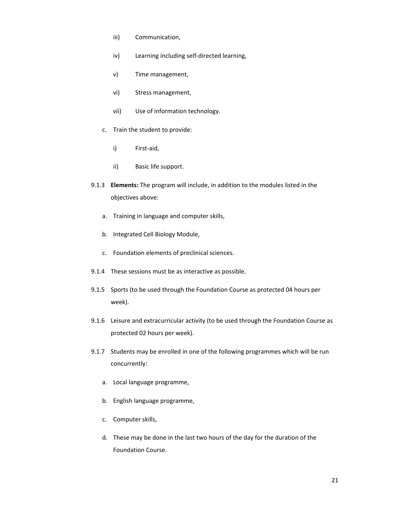- iii) Communication,
- iv) Learning including self‐directed learning,
- v) Time management,
- vi) Stress management,
- vii) Use of information technology.
- c. Train the student to provide:
	- i) First‐aid,
	- ii) Basic life support.
- 9.1.3 **Elements:** The program will include, in addition to the modules listed in the objectives above:
	- a. Training in language and computer skills,
	- b. Integrated Cell Biology Module,
	- c. Foundation elements of preclinical sciences.
- 9.1.4 These sessions must be as interactive as possible.
- 9.1.5 Sports (to be used through the Foundation Course as protected 04 hours per week).
- 9.1.6 Leisure and extracurricular activity (to be used through the Foundation Course as protected 02 hours per week).
- 9.1.7 Students may be enrolled in one of the following programmes which will be run concurrently:
	- a. Local language programme,
	- b. English language programme,
	- c. Computer skills,
	- d. These may be done in the last two hours of the day for the duration of the Foundation Course.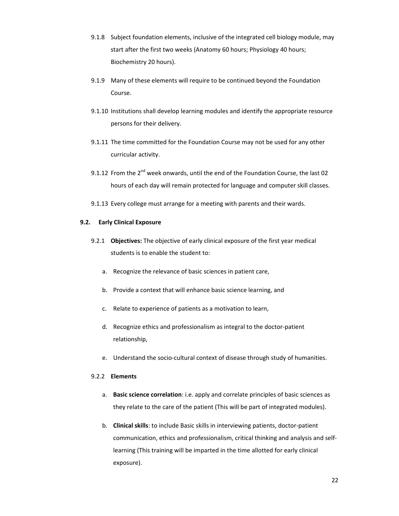- 9.1.8 Subject foundation elements, inclusive of the integrated cell biology module, may start after the first two weeks (Anatomy 60 hours; Physiology 40 hours; Biochemistry 20 hours).
- 9.1.9 Many of these elements will require to be continued beyond the Foundation Course.
- 9.1.10 Institutions shall develop learning modules and identify the appropriate resource persons for their delivery.
- 9.1.11 The time committed for the Foundation Course may not be used for any other curricular activity.
- 9.1.12 From the  $2^{nd}$  week onwards, until the end of the Foundation Course, the last 02 hours of each day will remain protected for language and computer skill classes.
- 9.1.13 Every college must arrange for a meeting with parents and their wards.

#### **9.2. Early Clinical Exposure**

- 9.2.1 **Objectives:** The objective of early clinical exposure of the first year medical students is to enable the student to:
	- a. Recognize the relevance of basic sciences in patient care,
	- b. Provide a context that will enhance basic science learning, and
	- c. Relate to experience of patients as a motivation to learn,
	- d. Recognize ethics and professionalism as integral to the doctor‐patient relationship,
	- e. Understand the socio-cultural context of disease through study of humanities.

# 9.2.2 **Elements**

- a. **Basic science correlation**: i.e. apply and correlate principles of basic sciences as they relate to the care of the patient (This will be part of integrated modules).
- b. **Clinical skills**: to include Basic skills in interviewing patients, doctor‐patient communication, ethics and professionalism, critical thinking and analysis and self‐ learning (This training will be imparted in the time allotted for early clinical exposure).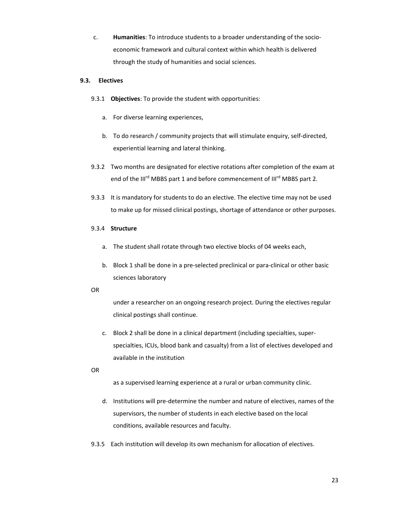c. **Humanities**: To introduce students to a broader understanding of the socio‐ economic framework and cultural context within which health is delivered through the study of humanities and social sciences.

# **9.3. Electives**

- 9.3.1 **Objectives**: To provide the student with opportunities:
	- a. For diverse learning experiences,
	- b. To do research / community projects that will stimulate enquiry, self-directed, experiential learning and lateral thinking.
- 9.3.2 Two months are designated for elective rotations after completion of the exam at end of the III<sup>rd</sup> MBBS part 1 and before commencement of III<sup>rd</sup> MBBS part 2.
- 9.3.3 It is mandatory for students to do an elective. The elective time may not be used to make up for missed clinical postings, shortage of attendance or other purposes.

# 9.3.4 **Structure**

- a. The student shall rotate through two elective blocks of 04 weeks each,
- b. Block 1 shall be done in a pre‐selected preclinical or para‐clinical or other basic sciences laboratory

OR

under a researcher on an ongoing research project. During the electives regular clinical postings shall continue.

c. Block 2 shall be done in a clinical department (including specialties, super‐ specialties, ICUs, blood bank and casualty) from a list of electives developed and available in the institution

OR

as a supervised learning experience at a rural or urban community clinic.

- d. Institutions will pre‐determine the number and nature of electives, names of the supervisors, the number of students in each elective based on the local conditions, available resources and faculty.
- 9.3.5 Each institution will develop its own mechanism for allocation of electives.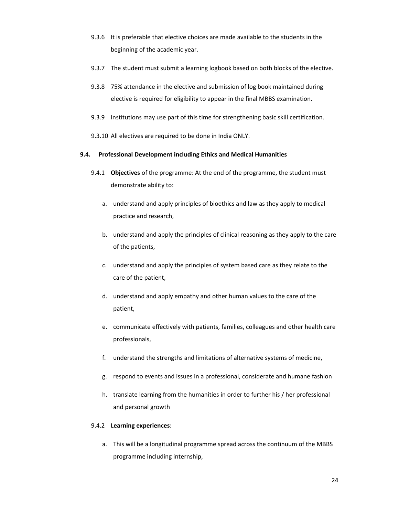- 9.3.6 It is preferable that elective choices are made available to the students in the beginning of the academic year.
- 9.3.7 The student must submit a learning logbook based on both blocks of the elective.
- 9.3.8 75% attendance in the elective and submission of log book maintained during elective is required for eligibility to appear in the final MBBS examination.
- 9.3.9 Institutions may use part of this time for strengthening basic skill certification.
- 9.3.10 All electives are required to be done in India ONLY.

# **9.4. Professional Development including Ethics and Medical Humanities**

- 9.4.1 **Objectives** of the programme: At the end of the programme, the student must demonstrate ability to:
	- a. understand and apply principles of bioethics and law as they apply to medical practice and research,
	- b. understand and apply the principles of clinical reasoning as they apply to the care of the patients,
	- c. understand and apply the principles of system based care as they relate to the care of the patient,
	- d. understand and apply empathy and other human values to the care of the patient,
	- e. communicate effectively with patients, families, colleagues and other health care professionals,
	- f. understand the strengths and limitations of alternative systems of medicine,
	- g. respond to events and issues in a professional, considerate and humane fashion
	- h. translate learning from the humanities in order to further his / her professional and personal growth

# 9.4.2 **Learning experiences**:

a. This will be a longitudinal programme spread across the continuum of the MBBS programme including internship,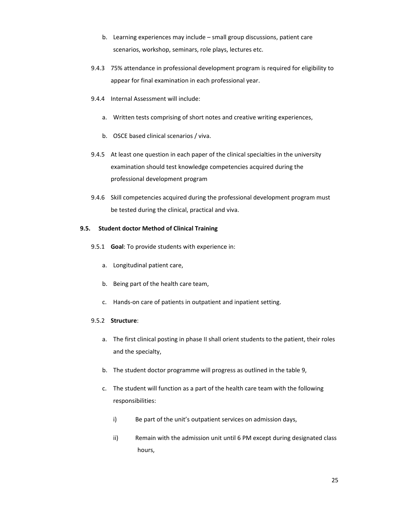- b. Learning experiences may include small group discussions, patient care scenarios, workshop, seminars, role plays, lectures etc.
- 9.4.3 75% attendance in professional development program is required for eligibility to appear for final examination in each professional year.
- 9.4.4 Internal Assessment will include:
	- a. Written tests comprising of short notes and creative writing experiences,
	- b. OSCE based clinical scenarios / viva.
- 9.4.5 At least one question in each paper of the clinical specialties in the university examination should test knowledge competencies acquired during the professional development program
- 9.4.6 Skill competencies acquired during the professional development program must be tested during the clinical, practical and viva.

# **9.5. Student doctor Method of Clinical Training**

- 9.5.1 **Goal**: To provide students with experience in:
	- a. Longitudinal patient care,
	- b. Being part of the health care team,
	- c. Hands‐on care of patients in outpatient and inpatient setting.

# 9.5.2 **Structure**:

- a. The first clinical posting in phase II shall orient students to the patient, their roles and the specialty,
- b. The student doctor programme will progress as outlined in the table 9,
- c. The student will function as a part of the health care team with the following responsibilities:
	- i) Be part of the unit's outpatient services on admission days,
	- ii) Remain with the admission unit until 6 PM except during designated class hours,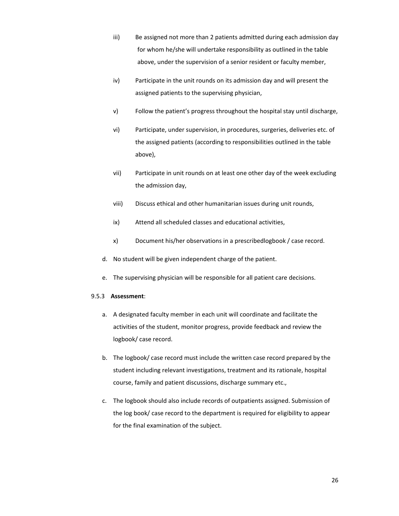- iii) Be assigned not more than 2 patients admitted during each admission day for whom he/she will undertake responsibility as outlined in the table above, under the supervision of a senior resident or faculty member,
- iv) Participate in the unit rounds on its admission day and will present the assigned patients to the supervising physician,
- v) Follow the patient's progress throughout the hospital stay until discharge,
- vi) Participate, under supervision, in procedures, surgeries, deliveries etc. of the assigned patients (according to responsibilities outlined in the table above),
- vii) Participate in unit rounds on at least one other day of the week excluding the admission day,
- viii) Discuss ethical and other humanitarian issues during unit rounds,
- ix) Attend all scheduled classes and educational activities,
- x) Document his/her observations in a prescribedlogbook / case record.
- d. No student will be given independent charge of the patient.
- e. The supervising physician will be responsible for all patient care decisions.

# 9.5.3 **Assessment**:

- a. A designated faculty member in each unit will coordinate and facilitate the activities of the student, monitor progress, provide feedback and review the logbook/ case record.
- b. The logbook/ case record must include the written case record prepared by the student including relevant investigations, treatment and its rationale, hospital course, family and patient discussions, discharge summary etc.,
- c. The logbook should also include records of outpatients assigned. Submission of the log book/ case record to the department is required for eligibility to appear for the final examination of the subject.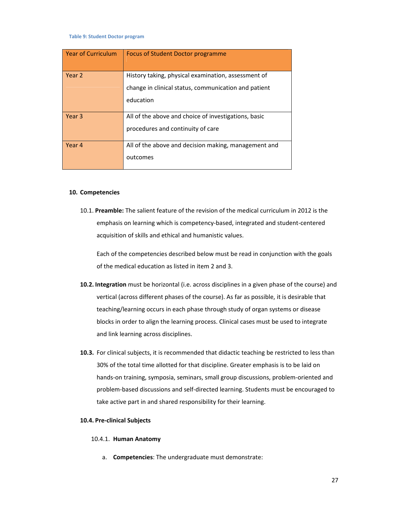**Table 9: Student Doctor program**

| <b>Year of Curriculum</b> | Focus of Student Doctor programme                    |
|---------------------------|------------------------------------------------------|
|                           |                                                      |
| Year 2                    | History taking, physical examination, assessment of  |
|                           | change in clinical status, communication and patient |
|                           | education                                            |
|                           |                                                      |
| Year 3                    | All of the above and choice of investigations, basic |
|                           | procedures and continuity of care                    |
| Year 4                    | All of the above and decision making, management and |
|                           | outcomes                                             |

#### **10. Competencies**

10.1. **Preamble:** The salient feature of the revision of the medical curriculum in 2012 is the emphasis on learning which is competency‐based, integrated and student‐centered acquisition of skills and ethical and humanistic values.

Each of the competencies described below must be read in conjunction with the goals of the medical education as listed in item 2 and 3.

- **10.2. Integration** must be horizontal (i.e. across disciplines in a given phase of the course) and vertical (across different phases of the course). As far as possible, it is desirable that teaching/learning occurs in each phase through study of organ systems or disease blocks in order to align the learning process. Clinical cases must be used to integrate and link learning across disciplines.
- **10.3.** For clinical subjects, it is recommended that didactic teaching be restricted to less than 30% of the total time allotted for that discipline. Greater emphasis is to be laid on hands‐on training, symposia, seminars, small group discussions, problem‐oriented and problem‐based discussions and self‐directed learning. Students must be encouraged to take active part in and shared responsibility for their learning.

## **10.4. Pre‐clinical Subjects**

#### 10.4.1. **Human Anatomy**

a. **Competencies**: The undergraduate must demonstrate: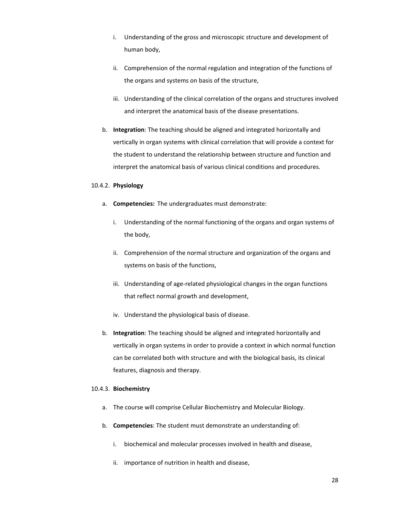- i. Understanding of the gross and microscopic structure and development of human body,
- ii. Comprehension of the normal regulation and integration of the functions of the organs and systems on basis of the structure,
- iii. Understanding of the clinical correlation of the organs and structures involved and interpret the anatomical basis of the disease presentations.
- b. **Integration**: The teaching should be aligned and integrated horizontally and vertically in organ systems with clinical correlation that will provide a context for the student to understand the relationship between structure and function and interpret the anatomical basis of various clinical conditions and procedures.

#### 10.4.2. **Physiology**

- a. **Competencies:** The undergraduates must demonstrate:
	- i. Understanding of the normal functioning of the organs and organ systems of the body,
	- ii. Comprehension of the normal structure and organization of the organs and systems on basis of the functions,
	- iii. Understanding of age-related physiological changes in the organ functions that reflect normal growth and development,
	- iv. Understand the physiological basis of disease.
- b. **Integration**: The teaching should be aligned and integrated horizontally and vertically in organ systems in order to provide a context in which normal function can be correlated both with structure and with the biological basis, its clinical features, diagnosis and therapy.

# 10.4.3. **Biochemistry**

- a. The course will comprise Cellular Biochemistry and Molecular Biology.
- b. **Competencies**: The student must demonstrate an understanding of:
	- i. biochemical and molecular processes involved in health and disease,
	- ii. importance of nutrition in health and disease,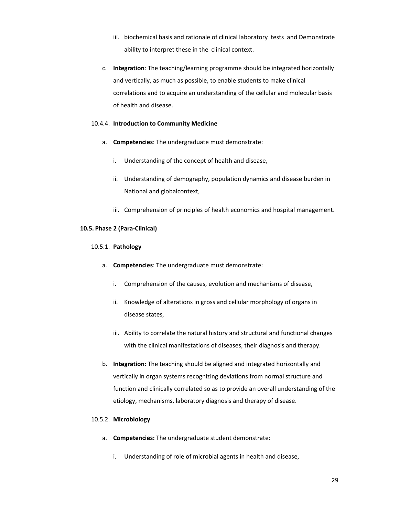- iii. biochemical basis and rationale of clinical laboratory tests and Demonstrate ability to interpret these in the clinical context.
- c. **Integration**: The teaching/learning programme should be integrated horizontally and vertically, as much as possible, to enable students to make clinical correlations and to acquire an understanding of the cellular and molecular basis of health and disease.

# 10.4.4. **Introduction to Community Medicine**

- a. **Competencies**: The undergraduate must demonstrate:
	- i. Understanding of the concept of health and disease,
	- ii. Understanding of demography, population dynamics and disease burden in National and globalcontext,
	- iii. Comprehension of principles of health economics and hospital management.

# **10.5. Phase 2 (Para‐Clinical)**

# 10.5.1. **Pathology**

- a. **Competencies**: The undergraduate must demonstrate:
	- i. Comprehension of the causes, evolution and mechanisms of disease,
	- ii. Knowledge of alterations in gross and cellular morphology of organs in disease states,
	- iii. Ability to correlate the natural history and structural and functional changes with the clinical manifestations of diseases, their diagnosis and therapy.
- b. **Integration:** The teaching should be aligned and integrated horizontally and vertically in organ systems recognizing deviations from normal structure and function and clinically correlated so as to provide an overall understanding of the etiology, mechanisms, laboratory diagnosis and therapy of disease.

# 10.5.2. **Microbiology**

- a. **Competencies:** The undergraduate student demonstrate:
	- i. Understanding of role of microbial agents in health and disease,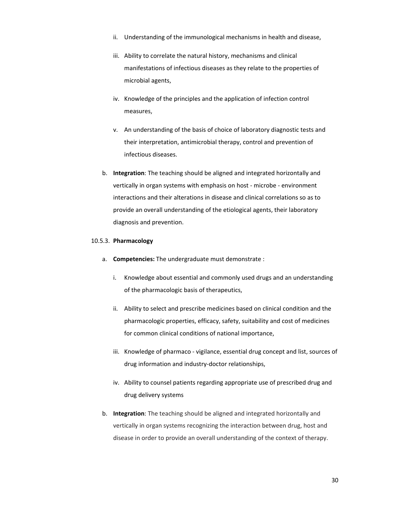- ii. Understanding of the immunological mechanisms in health and disease,
- iii. Ability to correlate the natural history, mechanisms and clinical manifestations of infectious diseases as they relate to the properties of microbial agents,
- iv. Knowledge of the principles and the application of infection control measures,
- v. An understanding of the basis of choice of laboratory diagnostic tests and their interpretation, antimicrobial therapy, control and prevention of infectious diseases.
- b. **Integration**: The teaching should be aligned and integrated horizontally and vertically in organ systems with emphasis on host ‐ microbe ‐ environment interactions and their alterations in disease and clinical correlations so as to provide an overall understanding of the etiological agents, their laboratory diagnosis and prevention.

#### 10.5.3. **Pharmacology**

- a. **Competencies:** The undergraduate must demonstrate :
	- i. Knowledge about essential and commonly used drugs and an understanding of the pharmacologic basis of therapeutics,
	- ii. Ability to select and prescribe medicines based on clinical condition and the pharmacologic properties, efficacy, safety, suitability and cost of medicines for common clinical conditions of national importance,
	- iii. Knowledge of pharmaco vigilance, essential drug concept and list, sources of drug information and industry‐doctor relationships,
	- iv. Ability to counsel patients regarding appropriate use of prescribed drug and drug delivery systems
- b. **Integration**: The teaching should be aligned and integrated horizontally and vertically in organ systems recognizing the interaction between drug, host and disease in order to provide an overall understanding of the context of therapy.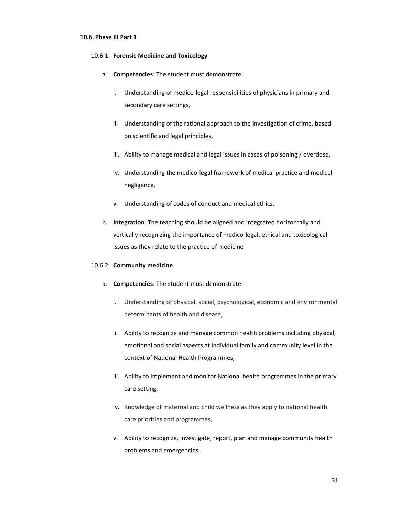#### **10.6. Phase III Part 1**

#### 10.6.1. **Forensic Medicine and Toxicology**

- a. **Competencies**: The student must demonstrate:
	- i. Understanding of medico-legal responsibilities of physicians in primary and secondary care settings,
	- ii. Understanding of the rational approach to the investigation of crime, based on scientific and legal principles,
	- iii. Ability to manage medical and legal issues in cases of poisoning / overdose,
	- iv. Understanding the medico‐legal framework of medical practice and medical negligence,
	- v. Understanding of codes of conduct and medical ethics.
- b. **Integration**: The teaching should be aligned and integrated horizontally and vertically recognizing the importance of medico‐legal, ethical and toxicological issues as they relate to the practice of medicine

#### 10.6.2. **Community medicine**

- a. **Competencies**: The student must demonstrate:
	- i. Understanding of physical, social, psychological, economic and environmental determinants of health and disease,
	- ii. Ability to recognize and manage common health problems including physical, emotional and social aspects at individual family and community level in the context of National Health Programmes,
	- iii. Ability to Implement and monitor National health programmes in the primary care setting,
	- iv. Knowledge of maternal and child wellness as they apply to national health care priorities and programmes,
	- v. Ability to recognize, investigate, report, plan and manage community health problems and emergencies,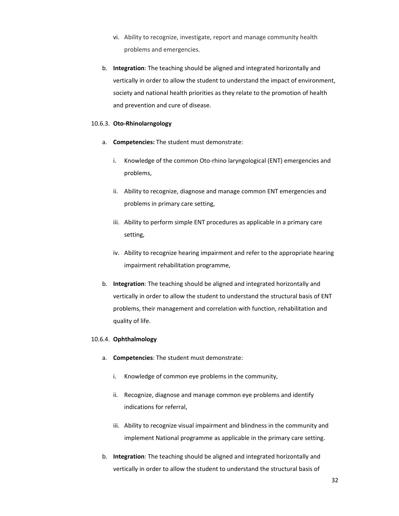- vi. Ability to recognize, investigate, report and manage community health problems and emergencies.
- b. **Integration**: The teaching should be aligned and integrated horizontally and vertically in order to allow the student to understand the impact of environment, society and national health priorities as they relate to the promotion of health and prevention and cure of disease.

#### 10.6.3. **Oto‐Rhinolarngology**

- a. **Competencies:** The student must demonstrate:
	- i. Knowledge of the common Oto-rhino laryngological (ENT) emergencies and problems,
	- ii. Ability to recognize, diagnose and manage common ENT emergencies and problems in primary care setting,
	- iii. Ability to perform simple ENT procedures as applicable in a primary care setting,
	- iv. Ability to recognize hearing impairment and refer to the appropriate hearing impairment rehabilitation programme,
- b. **Integration**: The teaching should be aligned and integrated horizontally and vertically in order to allow the student to understand the structural basis of ENT problems, their management and correlation with function, rehabilitation and quality of life.

# 10.6.4. **Ophthalmology**

- a. **Competencies**: The student must demonstrate:
	- i. Knowledge of common eye problems in the community,
	- ii. Recognize, diagnose and manage common eye problems and identify indications for referral,
	- iii. Ability to recognize visual impairment and blindness in the community and implement National programme as applicable in the primary care setting.
- b. **Integration**: The teaching should be aligned and integrated horizontally and vertically in order to allow the student to understand the structural basis of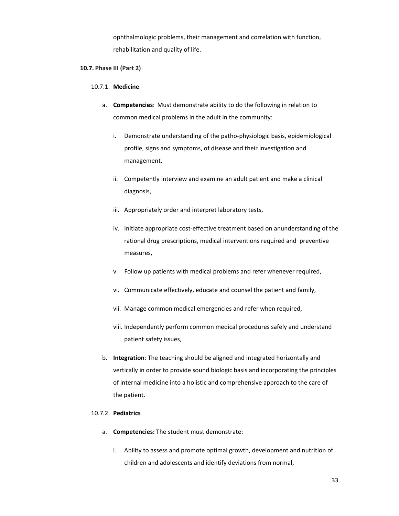ophthalmologic problems, their management and correlation with function, rehabilitation and quality of life.

# **10.7. Phase III (Part 2)**

#### 10.7.1. **Medicine**

- a. **Competencies**: Must demonstrate ability to do the following in relation to common medical problems in the adult in the community:
	- i. Demonstrate understanding of the patho-physiologic basis, epidemiological profile, signs and symptoms, of disease and their investigation and management,
	- ii. Competently interview and examine an adult patient and make a clinical diagnosis,
	- iii. Appropriately order and interpret laboratory tests,
	- iv. Initiate appropriate cost-effective treatment based on anunderstanding of the rational drug prescriptions, medical interventions required and preventive measures,
	- v. Follow up patients with medical problems and refer whenever required,
	- vi. Communicate effectively, educate and counsel the patient and family,
	- vii. Manage common medical emergencies and refer when required,
	- viii. Independently perform common medical procedures safely and understand patient safety issues,
- b. **Integration**: The teaching should be aligned and integrated horizontally and vertically in order to provide sound biologic basis and incorporating the principles of internal medicine into a holistic and comprehensive approach to the care of the patient.

# 10.7.2. **Pediatrics**

- a. **Competencies:** The student must demonstrate:
	- i. Ability to assess and promote optimal growth, development and nutrition of children and adolescents and identify deviations from normal,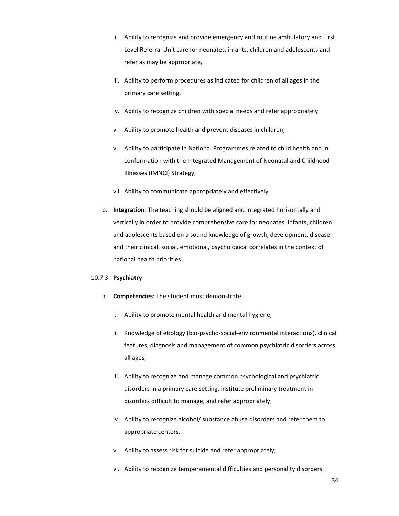- ii. Ability to recognize and provide emergency and routine ambulatory and First Level Referral Unit care for neonates, infants, children and adolescents and refer as may be appropriate,
- iii. Ability to perform procedures as indicated for children of all ages in the primary care setting,
- iv. Ability to recognize children with special needs and refer appropriately,
- v. Ability to promote health and prevent diseases in children,
- vi. Ability to participate in National Programmes related to child health and in conformation with the Integrated Management of Neonatal and Childhood Illnesses (IMNCI) Strategy,
- vii. Ability to communicate appropriately and effectively.
- b. **Integration**: The teaching should be aligned and integrated horizontally and vertically in order to provide comprehensive care for neonates, infants, children and adolescents based on a sound knowledge of growth, development, disease and their clinical, social, emotional, psychological correlates in the context of national health priorities.

#### 10.7.3. **Psychiatry**

- a. **Competencies**: The student must demonstrate:
	- i. Ability to promote mental health and mental hygiene,
	- ii. Knowledge of etiology (bio‐psycho‐social‐environmental interactions), clinical features, diagnosis and management of common psychiatric disorders across all ages,
	- iii. Ability to recognize and manage common psychological and psychiatric disorders in a primary care setting, institute preliminary treatment in disorders difficult to manage, and refer appropriately,
	- iv. Ability to recognize alcohol/ substance abuse disorders and refer them to appropriate centers,
	- v. Ability to assess risk for suicide and refer appropriately,
	- vi. Ability to recognize temperamental difficulties and personality disorders.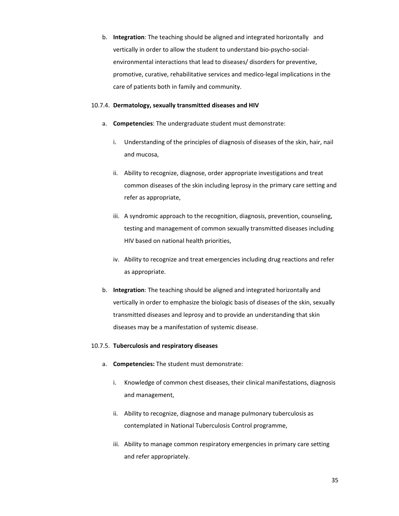b. **Integration**: The teaching should be aligned and integrated horizontally and vertically in order to allow the student to understand bio‐psycho‐social‐ environmental interactions that lead to diseases/ disorders for preventive, promotive, curative, rehabilitative services and medico‐legal implications in the care of patients both in family and community.

#### 10.7.4. **Dermatology, sexually transmitted diseases and HIV**

- a. **Competencies**: The undergraduate student must demonstrate:
	- i. Understanding of the principles of diagnosis of diseases of the skin, hair, nail and mucosa,
	- ii. Ability to recognize, diagnose, order appropriate investigations and treat common diseases of the skin including leprosy in the primary care setting and refer as appropriate,
	- iii. A syndromic approach to the recognition, diagnosis, prevention, counseling, testing and management of common sexually transmitted diseases including HIV based on national health priorities,
	- iv. Ability to recognize and treat emergencies including drug reactions and refer as appropriate.
- b. **Integration**: The teaching should be aligned and integrated horizontally and vertically in order to emphasize the biologic basis of diseases of the skin, sexually transmitted diseases and leprosy and to provide an understanding that skin diseases may be a manifestation of systemic disease.

# 10.7.5. **Tuberculosis and respiratory diseases**

- a. **Competencies:** The student must demonstrate:
	- i. Knowledge of common chest diseases, their clinical manifestations, diagnosis and management,
	- ii. Ability to recognize, diagnose and manage pulmonary tuberculosis as contemplated in National Tuberculosis Control programme,
	- iii. Ability to manage common respiratory emergencies in primary care setting and refer appropriately.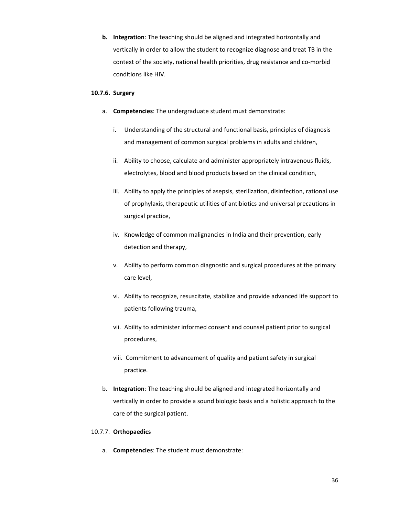**b. Integration**: The teaching should be aligned and integrated horizontally and vertically in order to allow the student to recognize diagnose and treat TB in the context of the society, national health priorities, drug resistance and co-morbid conditions like HIV.

# **10.7.6. Surgery**

- a. **Competencies**: The undergraduate student must demonstrate:
	- i. Understanding of the structural and functional basis, principles of diagnosis and management of common surgical problems in adults and children,
	- ii. Ability to choose, calculate and administer appropriately intravenous fluids, electrolytes, blood and blood products based on the clinical condition,
	- iii. Ability to apply the principles of asepsis, sterilization, disinfection, rational use of prophylaxis, therapeutic utilities of antibiotics and universal precautions in surgical practice,
	- iv. Knowledge of common malignancies in India and their prevention, early detection and therapy,
	- v. Ability to perform common diagnostic and surgical procedures at the primary care level,
	- vi. Ability to recognize, resuscitate, stabilize and provide advanced life support to patients following trauma,
	- vii. Ability to administer informed consent and counsel patient prior to surgical procedures,
	- viii. Commitment to advancement of quality and patient safety in surgical practice.
- b. **Integration**: The teaching should be aligned and integrated horizontally and vertically in order to provide a sound biologic basis and a holistic approach to the care of the surgical patient.

#### 10.7.7. **Orthopaedics**

a. **Competencies**: The student must demonstrate: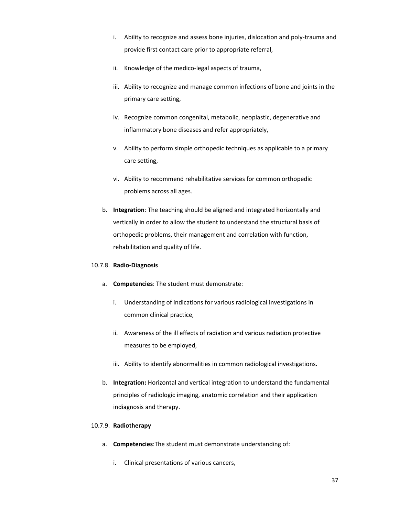- i. Ability to recognize and assess bone injuries, dislocation and poly‐trauma and provide first contact care prior to appropriate referral,
- ii. Knowledge of the medico-legal aspects of trauma,
- iii. Ability to recognize and manage common infections of bone and joints in the primary care setting,
- iv. Recognize common congenital, metabolic, neoplastic, degenerative and inflammatory bone diseases and refer appropriately,
- v. Ability to perform simple orthopedic techniques as applicable to a primary care setting,
- vi. Ability to recommend rehabilitative services for common orthopedic problems across all ages.
- b. **Integration**: The teaching should be aligned and integrated horizontally and vertically in order to allow the student to understand the structural basis of orthopedic problems, their management and correlation with function, rehabilitation and quality of life.

# 10.7.8. **Radio‐Diagnosis**

- a. **Competencies**: The student must demonstrate:
	- i. Understanding of indications for various radiological investigations in common clinical practice,
	- ii. Awareness of the ill effects of radiation and various radiation protective measures to be employed,
	- iii. Ability to identify abnormalities in common radiological investigations.
- b. **Integration:** Horizontal and vertical integration to understand the fundamental principles of radiologic imaging, anatomic correlation and their application indiagnosis and therapy.

# 10.7.9. **Radiotherapy**

- a. **Competencies**:The student must demonstrate understanding of:
	- i. Clinical presentations of various cancers,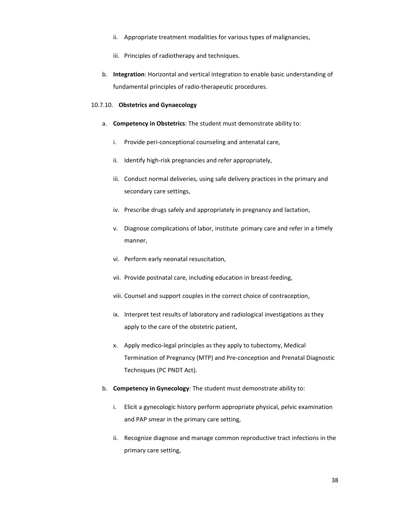- ii. Appropriate treatment modalities for various types of malignancies,
- iii. Principles of radiotherapy and techniques.
- b. **Integration**: Horizontal and vertical integration to enable basic understanding of fundamental principles of radio‐therapeutic procedures.

# 10.7.10. **Obstetrics and Gynaecology**

- a. **Competency in Obstetrics**: The student must demonstrate ability to:
	- i. Provide peri‐conceptional counseling and antenatal care,
	- ii. Identify high-risk pregnancies and refer appropriately,
	- iii. Conduct normal deliveries, using safe delivery practices in the primary and secondary care settings,
	- iv. Prescribe drugs safely and appropriately in pregnancy and lactation,
	- v. Diagnose complications of labor, institute primary care and refer in a timely manner,
	- vi. Perform early neonatal resuscitation,
	- vii. Provide postnatal care, including education in breast‐feeding,
	- viii. Counsel and support couples in the correct choice of contraception,
	- ix. Interpret test results of laboratory and radiological investigations as they apply to the care of the obstetric patient,
	- x. Apply medico‐legal principles as they apply to tubectomy, Medical Termination of Pregnancy (MTP) and Pre‐conception and Prenatal Diagnostic Techniques (PC PNDT Act).
- b. **Competency in Gynecology**: The student must demonstrate ability to:
	- i. Elicit a gynecologic history perform appropriate physical, pelvic examination and PAP smear in the primary care setting,
	- ii. Recognize diagnose and manage common reproductive tract infections in the primary care setting,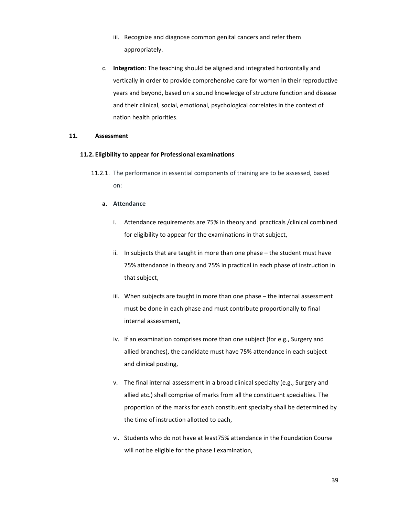- iii. Recognize and diagnose common genital cancers and refer them appropriately.
- c. **Integration**: The teaching should be aligned and integrated horizontally and vertically in order to provide comprehensive care for women in their reproductive years and beyond, based on a sound knowledge of structure function and disease and their clinical, social, emotional, psychological correlates in the context of nation health priorities.

# **11. Assessment**

#### **11.2. Eligibility to appear for Professional examinations**

11.2.1. The performance in essential components of training are to be assessed, based on:

#### **a. Attendance**

- i. Attendance requirements are 75% in theory and practicals /clinical combined for eligibility to appear for the examinations in that subject,
- ii. In subjects that are taught in more than one phase the student must have 75% attendance in theory and 75% in practical in each phase of instruction in that subject,
- iii. When subjects are taught in more than one phase the internal assessment must be done in each phase and must contribute proportionally to final internal assessment,
- iv. If an examination comprises more than one subject (for e.g., Surgery and allied branches), the candidate must have 75% attendance in each subject and clinical posting,
- v. The final internal assessment in a broad clinical specialty (e.g., Surgery and allied etc.) shall comprise of marks from all the constituent specialties. The proportion of the marks for each constituent specialty shall be determined by the time of instruction allotted to each,
- vi. Students who do not have at least75% attendance in the Foundation Course will not be eligible for the phase I examination,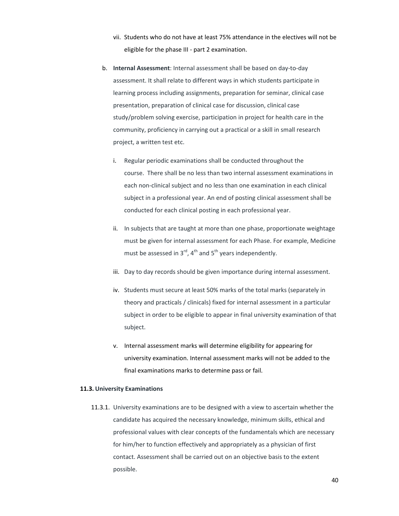- vii. Students who do not have at least 75% attendance in the electives will not be eligible for the phase III ‐ part 2 examination.
- b. **Internal Assessment**: Internal assessment shall be based on day‐to‐day assessment. It shall relate to different ways in which students participate in learning process including assignments, preparation for seminar, clinical case presentation, preparation of clinical case for discussion, clinical case study/problem solving exercise, participation in project for health care in the community, proficiency in carrying out a practical or a skill in small research project, a written test etc.
	- i. Regular periodic examinations shall be conducted throughout the course. There shall be no less than two internal assessment examinations in each non-clinical subject and no less than one examination in each clinical subject in a professional year. An end of posting clinical assessment shall be conducted for each clinical posting in each professional year.
	- ii. In subjects that are taught at more than one phase, proportionate weightage must be given for internal assessment for each Phase. For example, Medicine must be assessed in  $3^{\text{rd}}$ ,  $4^{\text{th}}$  and  $5^{\text{th}}$  years independently.
	- iii. Day to day records should be given importance during internal assessment.
	- iv. Students must secure at least 50% marks of the total marks (separately in theory and practicals / clinicals) fixed for internal assessment in a particular subject in order to be eligible to appear in final university examination of that subject.
	- v. Internal assessment marks will determine eligibility for appearing for university examination. Internal assessment marks will not be added to the final examinations marks to determine pass or fail.

#### **11.3. University Examinations**

11.3.1. University examinations are to be designed with a view to ascertain whether the candidate has acquired the necessary knowledge, minimum skills, ethical and professional values with clear concepts of the fundamentals which are necessary for him/her to function effectively and appropriately as a physician of first contact. Assessment shall be carried out on an objective basis to the extent possible.

40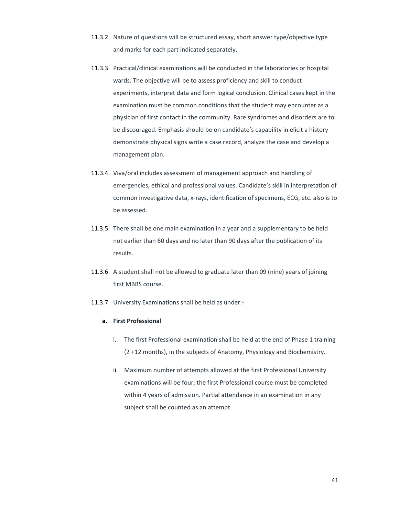- 11.3.2. Nature of questions will be structured essay, short answer type/objective type and marks for each part indicated separately.
- 11.3.3. Practical/clinical examinations will be conducted in the laboratories or hospital wards. The objective will be to assess proficiency and skill to conduct experiments, interpret data and form logical conclusion. Clinical cases kept in the examination must be common conditions that the student may encounter as a physician of first contact in the community. Rare syndromes and disorders are to be discouraged. Emphasis should be on candidate's capability in elicit a history demonstrate physical signs write a case record, analyze the case and develop a management plan.
- 11.3.4. Viva/oral includes assessment of management approach and handling of emergencies, ethical and professional values. Candidate's skill in interpretation of common investigative data, x‐rays, identification of specimens, ECG, etc. also is to be assessed.
- 11.3.5. There shall be one main examination in a year and a supplementary to be held not earlier than 60 days and no later than 90 days after the publication of its results.
- 11.3.6. A student shall not be allowed to graduate later than 09 (nine) years of joining first MBBS course.
- 11.3.7. University Examinations shall be held as under:‐

#### **a. First Professional**

- i. The first Professional examination shall be held at the end of Phase 1 training (2 +12 months), in the subjects of Anatomy, Physiology and Biochemistry.
- ii. Maximum number of attempts allowed at the first Professional University examinations will be four; the first Professional course must be completed within 4 years of admission. Partial attendance in an examination in any subject shall be counted as an attempt.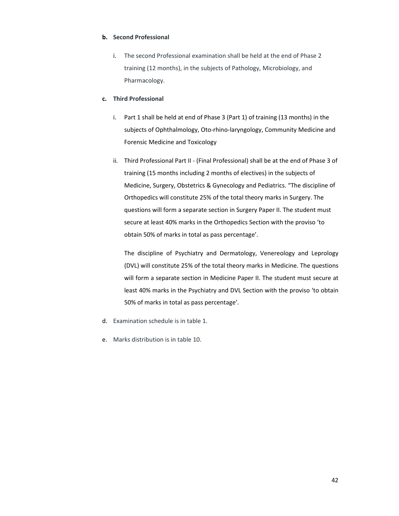# **b. Second Professional**

i. The second Professional examination shall be held at the end of Phase 2 training (12 months), in the subjects of Pathology, Microbiology, and Pharmacology.

# **c. Third Professional**

- i. Part 1 shall be held at end of Phase 3 (Part 1) of training (13 months) in the subjects of Ophthalmology, Oto-rhino-laryngology, Community Medicine and Forensic Medicine and Toxicology
- ii. Third Professional Part II ‐ (Final Professional) shall be at the end of Phase 3 of training (15 months including 2 months of electives) in the subjects of Medicine, Surgery, Obstetrics & Gynecology and Pediatrics. "The discipline of Orthopedics will constitute 25% of the total theory marks in Surgery. The questions will form a separate section in Surgery Paper II. The student must secure at least 40% marks in the Orthopedics Section with the proviso 'to obtain 50% of marks in total as pass percentage'.

The discipline of Psychiatry and Dermatology, Venereology and Leprology (DVL) will constitute 25% of the total theory marks in Medicine. The questions will form a separate section in Medicine Paper II. The student must secure at least 40% marks in the Psychiatry and DVL Section with the proviso 'to obtain 50% of marks in total as pass percentage'.

- d. Examination schedule is in table 1.
- e. Marks distribution is in table 10.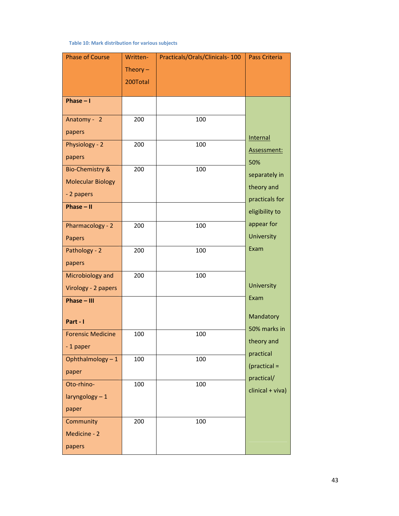**Table 10: Mark distribution for various subjects**

| <b>Phase of Course</b>      | Written-   | Practicals/Orals/Clinicals-100 | <b>Pass Criteria</b> |
|-----------------------------|------------|--------------------------------|----------------------|
|                             | Theory $-$ |                                |                      |
|                             | 200Total   |                                |                      |
| Phase $-1$                  |            |                                |                      |
|                             |            |                                |                      |
| Anatomy - 2                 | 200        | 100                            |                      |
| papers                      |            |                                | <b>Internal</b>      |
| Physiology - 2              | 200        | 100                            | Assessment:          |
| papers                      |            |                                | 50%                  |
| <b>Bio-Chemistry &amp;</b>  | 200        | 100                            | separately in        |
| <b>Molecular Biology</b>    |            |                                | theory and           |
| - 2 papers                  |            |                                | practicals for       |
| Phase $-$ II                |            |                                | eligibility to       |
| Pharmacology - 2            | 200        | 100                            | appear for           |
| Papers                      |            |                                | <b>University</b>    |
| Pathology - 2               | 200        | 100                            | Exam                 |
| papers                      |            |                                |                      |
| Microbiology and            | 200        | 100                            |                      |
| Virology - 2 papers         |            |                                | University           |
| Phase - III                 |            |                                | Exam                 |
| Part - I                    |            |                                | Mandatory            |
|                             |            |                                | 50% marks in         |
| <b>Forensic Medicine</b>    | 100        | 100                            | theory and           |
| -1 paper<br>Ophthalmology-1 | 100        | 100                            | practical            |
| paper                       |            |                                | $(practical =$       |
| Oto-rhino-                  | 100        | 100                            | practical/           |
| laryngology - 1             |            |                                | clinical + viva)     |
| paper                       |            |                                |                      |
| Community                   | 200        | 100                            |                      |
| Medicine - 2                |            |                                |                      |
| papers                      |            |                                |                      |
|                             |            |                                |                      |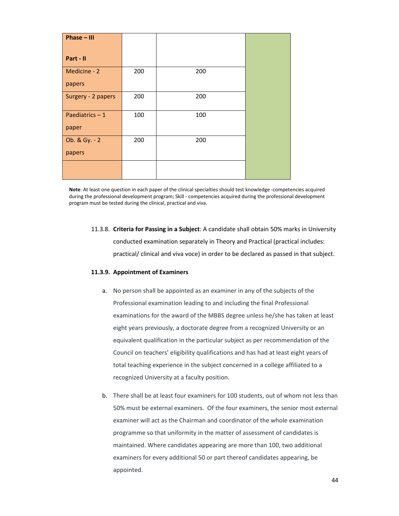| Phase - III        |     |     |  |
|--------------------|-----|-----|--|
|                    |     |     |  |
| Part - II          |     |     |  |
| Medicine - 2       | 200 | 200 |  |
| papers             |     |     |  |
| Surgery - 2 papers | 200 | 200 |  |
|                    |     |     |  |
| Paediatrics-1      | 100 | 100 |  |
| paper              |     |     |  |
| Ob. & Gy. - 2      | 200 | 200 |  |
| papers             |     |     |  |
|                    |     |     |  |
|                    |     |     |  |

**Note**: At least one question in each paper of the clinical specialties should test knowledge ‐competencies acquired during the professional development program; Skill ‐ competencies acquired during the professional development program must be tested during the clinical, practical and viva.

11.3.8. **Criteria for Passing in a Subject**: A candidate shall obtain 50% marks in University conducted examination separately in Theory and Practical (practical includes: practical/ clinical and viva voce) in order to be declared as passed in that subject.

#### **11.3.9. Appointment of Examiners**

- a. No person shall be appointed as an examiner in any of the subjects of the Professional examination leading to and including the final Professional examinations for the award of the MBBS degree unless he/she has taken at least eight years previously, a doctorate degree from a recognized University or an equivalent qualification in the particular subject as per recommendation of the Council on teachers' eligibility qualifications and has had at least eight years of total teaching experience in the subject concerned in a college affiliated to a recognized University at a faculty position.
- b. There shall be at least four examiners for 100 students, out of whom not less than 50% must be external examiners. Of the four examiners, the senior most external examiner will act as the Chairman and coordinator of the whole examination programme so that uniformity in the matter of assessment of candidates is maintained. Where candidates appearing are more than 100, two additional examiners for every additional 50 or part thereof candidates appearing, be appointed.

44